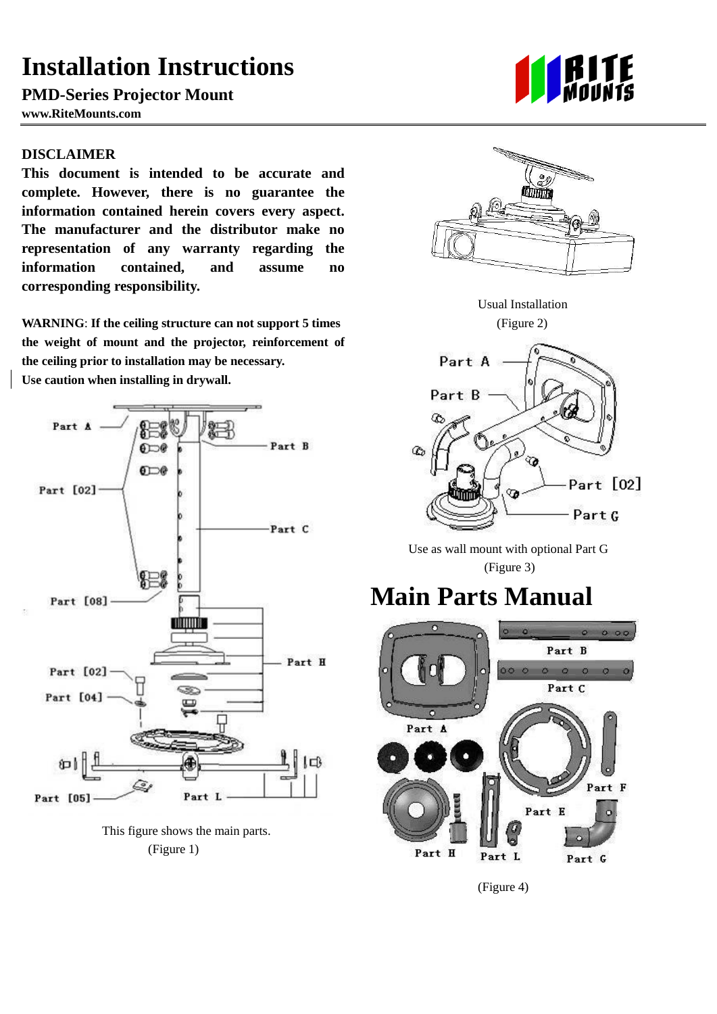### **Installation Instructions**

**PMD-Series Projector Mount** 

**www.RiteMounts.com** 

#### **DISCLAIMER**

**This document is intended to be accurate and complete. However, there is no guarantee the information contained herein covers every aspect. The manufacturer and the distributor make no representation of any warranty regarding the information contained, and assume no corresponding responsibility.**

**WARNING**: **If the ceiling structure can not support 5 times the weight of mount and the projector, reinforcement of the ceiling prior to installation may be necessary. Use caution when installing in drywall.**



This figure shows the main parts. (Figure 1)





Usual Installation (Figure 2)



 Use as wall mount with optional Part G (Figure 3)

# **Main Parts Manual**



(Figure 4)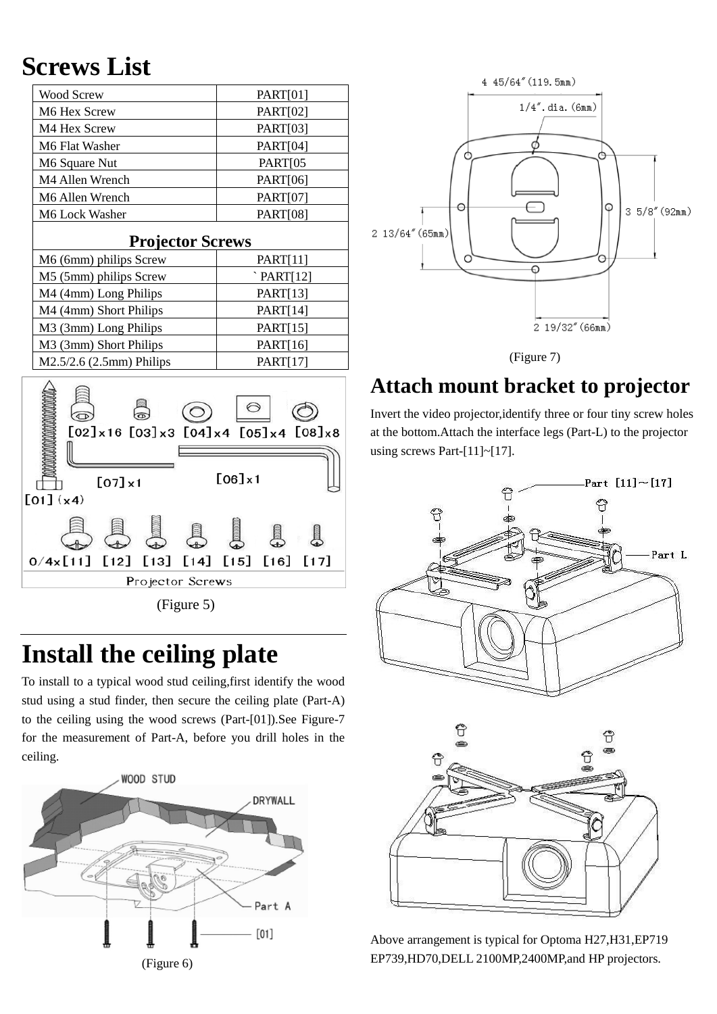# **Screws List**

| <b>Wood Screw</b>                                                                                   | <b>PART[01]</b>        |
|-----------------------------------------------------------------------------------------------------|------------------------|
| M6 Hex Screw                                                                                        | PART[02]               |
| M4 Hex Screw                                                                                        | PART[03]               |
| M6 Flat Washer                                                                                      | PART[04]               |
| M6 Square Nut                                                                                       | PART[05                |
| M4 Allen Wrench                                                                                     | PART[06]               |
| M6 Allen Wrench                                                                                     | <b>PART[07]</b>        |
| M6 Lock Washer                                                                                      | <b>PART[08]</b>        |
| <b>Projector Screws</b>                                                                             |                        |
| M6 (6mm) philips Screw                                                                              | <b>PART[11]</b>        |
| M5 (5mm) philips Screw                                                                              | $'$ PART[12]           |
| M4 (4mm) Long Philips                                                                               | PART[13]               |
| M4 (4mm) Short Philips                                                                              | <b>PART[14]</b>        |
| M3 (3mm) Long Philips                                                                               | <b>PART[15]</b>        |
| M3 (3mm) Short Philips                                                                              | PART[16]               |
| M2.5/2.6 (2.5mm) Philips                                                                            | <b>PART[17]</b>        |
| $[02] \times 16$ $[03] \times 3$ $[04] \times 4$ $[05] \times 4$ $[08] \times 8$<br>$[06] \times 1$ |                        |
| $[07] \times 1$<br>$[01]$ (x4)                                                                      |                        |
| [13]<br>0/4x[11]<br>[12]<br>[14]                                                                    | $[15]$<br>[16]<br>[17] |
|                                                                                                     |                        |

Projector Screws

(Figure 5)

### **Install the ceiling plate**

To install to a typical wood stud ceiling,first identify the wood stud using a stud finder, then secure the ceiling plate (Part-A) to the ceiling using the wood screws (Part-[01]).See Figure-7 for the measurement of Part-A, before you drill holes in the ceiling.







### **Attach mount bracket to projector**

Invert the video projector,identify three or four tiny screw holes at the bottom.Attach the interface legs (Part-L) to the projector using screws Part- $[11]$ ~[17].





Above arrangement is typical for Optoma H27,H31,EP719 EP739,HD70,DELL 2100MP,2400MP,and HP projectors.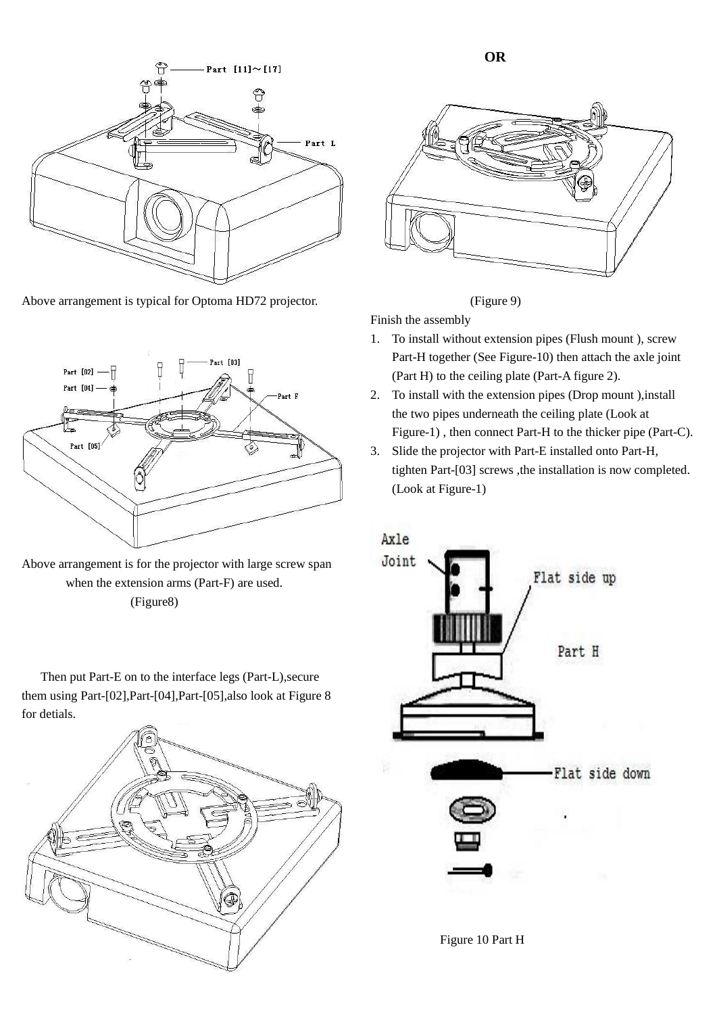

Above arrangement is typical for Optoma HD72 projector.



Above arrangement is for the projector with large screw span when the extension arms (Part-F) are used. (Figure8)

Then put Part-E on to the interface legs (Part-L),secure them using Part-[02],Part-[04],Part-[05],also look at Figure 8 for detials.







Finish the assembly

- 1. To install without extension pipes (Flush mount ), screw Part-H together (See Figure-10) then attach the axle joint (Part H) to the ceiling plate (Part-A figure 2).
- 2. To install with the extension pipes (Drop mount ),install the two pipes underneath the ceiling plate (Look at Figure-1) , then connect Part-H to the thicker pipe (Part-C).
- 3. Slide the projector with Part-E installed onto Part-H, tighten Part-[03] screws ,the installation is now completed. (Look at Figure-1)



Figure 10 Part H

**OR**